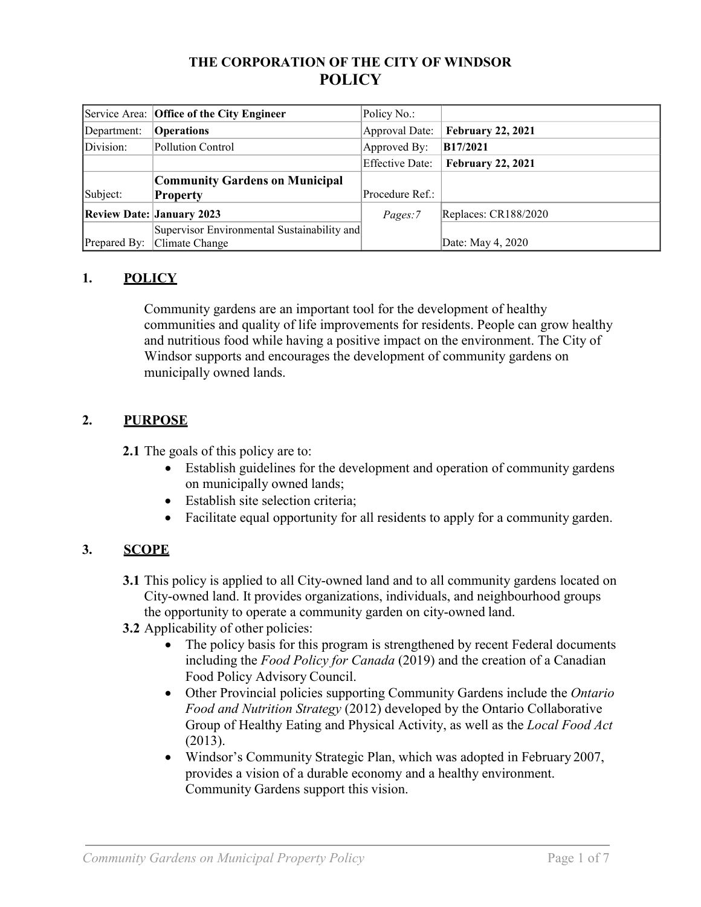#### **THE CORPORATION OF THE CITY OF WINDSOR POLICY**

|              | Service Area: Office of the City Engineer   | Policy No.:     |                          |
|--------------|---------------------------------------------|-----------------|--------------------------|
| Department:  | <b>Operations</b>                           | Approval Date:  | <b>February 22, 2021</b> |
| Division:    | Pollution Control                           | Approved By:    | <b>B17/2021</b>          |
|              |                                             | Effective Date: | <b>February 22, 2021</b> |
|              | <b>Community Gardens on Municipal</b>       |                 |                          |
| Subject:     | <b>Property</b>                             | Procedure Ref.: |                          |
|              | <b>Review Date: January 2023</b>            | Pages:7         | Replaces: CR188/2020     |
|              | Supervisor Environmental Sustainability and |                 |                          |
| Prepared By: | Climate Change                              |                 | Date: May 4, 2020        |

## **1. POLICY**

Community gardens are an important tool for the development of healthy communities and quality of life improvements for residents. People can grow healthy and nutritious food while having a positive impact on the environment. The City of Windsor supports and encourages the development of community gardens on municipally owned lands.

## **2. PURPOSE**

**2.1** The goals of this policy are to:

- Establish guidelines for the development and operation of community gardens on municipally owned lands;
- Establish site selection criteria;
- Facilitate equal opportunity for all residents to apply for a community garden.

# **3. SCOPE**

- **3.1** This policy is applied to all City-owned land and to all community gardens located on City-owned land. It provides organizations, individuals, and neighbourhood groups the opportunity to operate a community garden on city-owned land.
- **3.2** Applicability of other policies:
	- The policy basis for this program is strengthened by recent Federal documents including the *Food Policy for Canada* (2019) and the creation of a Canadian Food Policy Advisory Council.
	- Other Provincial policies supporting Community Gardens include the *Ontario Food and Nutrition Strategy* (2012) developed by the Ontario Collaborative Group of Healthy Eating and Physical Activity, as well as the *Local Food Act*  (2013).
	- Windsor's Community Strategic Plan, which was adopted in February 2007, provides a vision of a durable economy and a healthy environment. Community Gardens support this vision.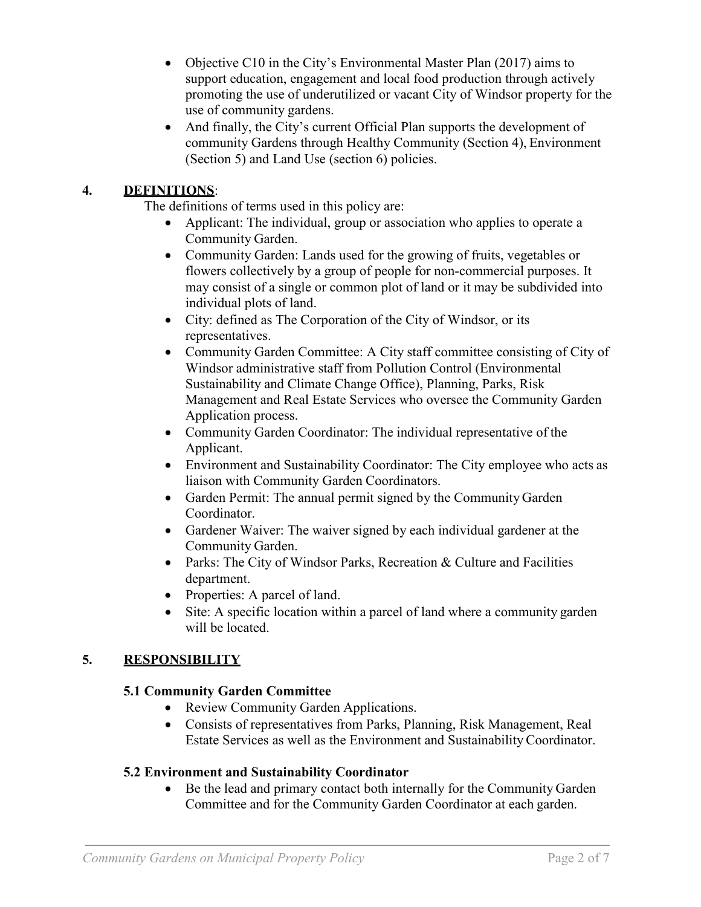- Objective C10 in the City's Environmental Master Plan (2017) aims to support education, engagement and local food production through actively promoting the use of underutilized or vacant City of Windsor property for the use of community gardens.
- And finally, the City's current Official Plan supports the development of community Gardens through Healthy Community (Section 4), Environment (Section 5) and Land Use (section 6) policies.

#### **4. DEFINITIONS**:

The definitions of terms used in this policy are:

- Applicant: The individual, group or association who applies to operate a Community Garden.
- Community Garden: Lands used for the growing of fruits, vegetables or flowers collectively by a group of people for non-commercial purposes. It may consist of a single or common plot of land or it may be subdivided into individual plots of land.
- City: defined as The Corporation of the City of Windsor, or its representatives.
- Community Garden Committee: A City staff committee consisting of City of Windsor administrative staff from Pollution Control (Environmental Sustainability and Climate Change Office), Planning, Parks, Risk Management and Real Estate Services who oversee the Community Garden Application process.
- Community Garden Coordinator: The individual representative of the Applicant.
- Environment and Sustainability Coordinator: The City employee who acts as liaison with Community Garden Coordinators.
- Garden Permit: The annual permit signed by the Community Garden Coordinator.
- Gardener Waiver: The waiver signed by each individual gardener at the Community Garden.
- Parks: The City of Windsor Parks, Recreation & Culture and Facilities department.
- Properties: A parcel of land.
- Site: A specific location within a parcel of land where a community garden will be located.

## **5. RESPONSIBILITY**

#### **5.1 Community Garden Committee**

- Review Community Garden Applications.
- Consists of representatives from Parks, Planning, Risk Management, Real Estate Services as well as the Environment and Sustainability Coordinator.

#### **5.2 Environment and Sustainability Coordinator**

• Be the lead and primary contact both internally for the Community Garden Committee and for the Community Garden Coordinator at each garden.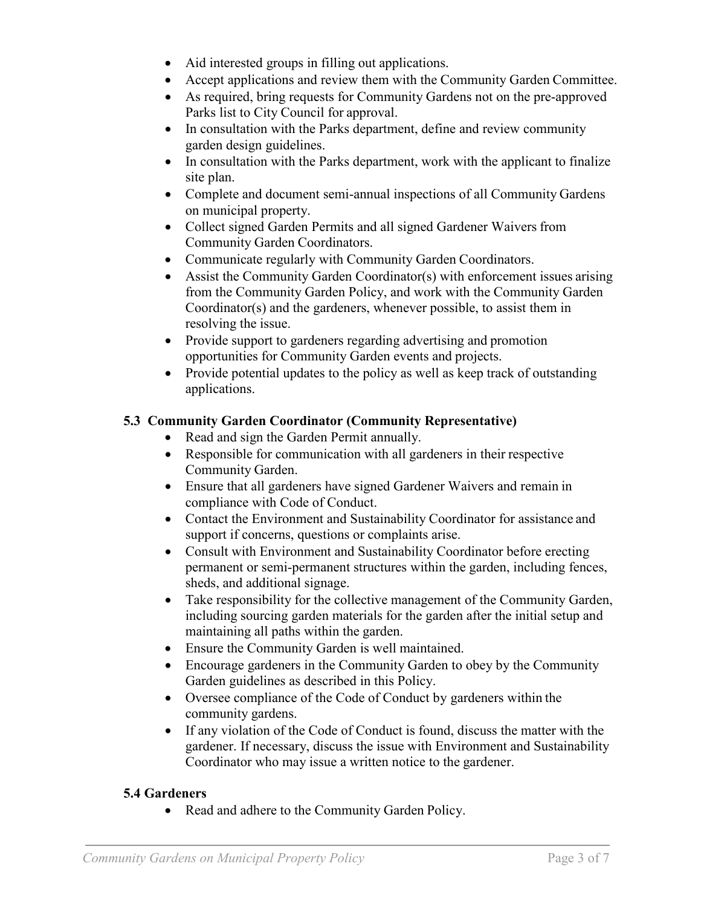- Aid interested groups in filling out applications.
- Accept applications and review them with the Community Garden Committee.
- As required, bring requests for Community Gardens not on the pre-approved Parks list to City Council for approval.
- In consultation with the Parks department, define and review community garden design guidelines.
- In consultation with the Parks department, work with the applicant to finalize site plan.
- Complete and document semi-annual inspections of all Community Gardens on municipal property.
- Collect signed Garden Permits and all signed Gardener Waivers from Community Garden Coordinators.
- Communicate regularly with Community Garden Coordinators.
- Assist the Community Garden Coordinator(s) with enforcement issues arising from the Community Garden Policy, and work with the Community Garden Coordinator(s) and the gardeners, whenever possible, to assist them in resolving the issue.
- Provide support to gardeners regarding advertising and promotion opportunities for Community Garden events and projects.
- Provide potential updates to the policy as well as keep track of outstanding applications.

## **5.3 Community Garden Coordinator (Community Representative)**

- Read and sign the Garden Permit annually.
- Responsible for communication with all gardeners in their respective Community Garden.
- Ensure that all gardeners have signed Gardener Waivers and remain in compliance with Code of Conduct.
- Contact the Environment and Sustainability Coordinator for assistance and support if concerns, questions or complaints arise.
- Consult with Environment and Sustainability Coordinator before erecting permanent or semi-permanent structures within the garden, including fences, sheds, and additional signage.
- Take responsibility for the collective management of the Community Garden, including sourcing garden materials for the garden after the initial setup and maintaining all paths within the garden.
- Ensure the Community Garden is well maintained.
- Encourage gardeners in the Community Garden to obey by the Community Garden guidelines as described in this Policy.
- Oversee compliance of the Code of Conduct by gardeners within the community gardens.
- If any violation of the Code of Conduct is found, discuss the matter with the gardener. If necessary, discuss the issue with Environment and Sustainability Coordinator who may issue a written notice to the gardener.

## **5.4 Gardeners**

• Read and adhere to the Community Garden Policy.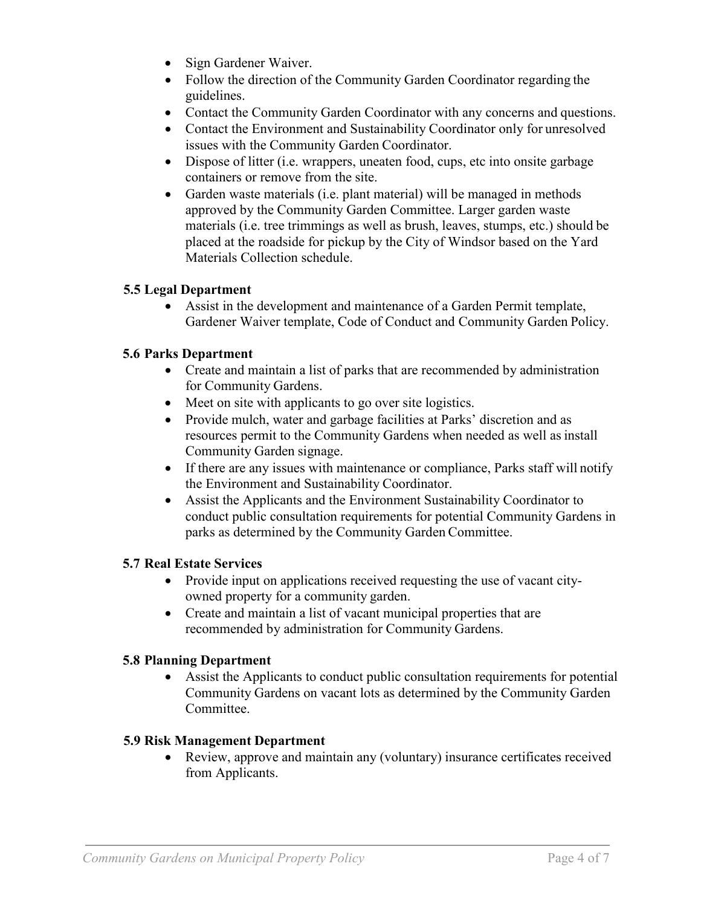- Sign Gardener Waiver.
- Follow the direction of the Community Garden Coordinator regarding the guidelines.
- Contact the Community Garden Coordinator with any concerns and questions.
- Contact the Environment and Sustainability Coordinator only for unresolved issues with the Community Garden Coordinator.
- Dispose of litter (i.e. wrappers, uneaten food, cups, etc into onsite garbage containers or remove from the site.
- Garden waste materials (i.e. plant material) will be managed in methods approved by the Community Garden Committee. Larger garden waste materials (i.e. tree trimmings as well as brush, leaves, stumps, etc.) should be placed at the roadside for pickup by the City of Windsor based on the Yard Materials Collection schedule.

#### **5.5 Legal Department**

• Assist in the development and maintenance of a Garden Permit template, Gardener Waiver template, Code of Conduct and Community Garden Policy.

## **5.6 Parks Department**

- Create and maintain a list of parks that are recommended by administration for Community Gardens.
- Meet on site with applicants to go over site logistics.
- Provide mulch, water and garbage facilities at Parks' discretion and as resources permit to the Community Gardens when needed as well as install Community Garden signage.
- If there are any issues with maintenance or compliance, Parks staff will notify the Environment and Sustainability Coordinator.
- Assist the Applicants and the Environment Sustainability Coordinator to conduct public consultation requirements for potential Community Gardens in parks as determined by the Community Garden Committee.

#### **5.7 Real Estate Services**

- Provide input on applications received requesting the use of vacant cityowned property for a community garden.
- Create and maintain a list of vacant municipal properties that are recommended by administration for Community Gardens.

#### **5.8 Planning Department**

• Assist the Applicants to conduct public consultation requirements for potential Community Gardens on vacant lots as determined by the Community Garden Committee.

#### **5.9 Risk Management Department**

• Review, approve and maintain any (voluntary) insurance certificates received from Applicants.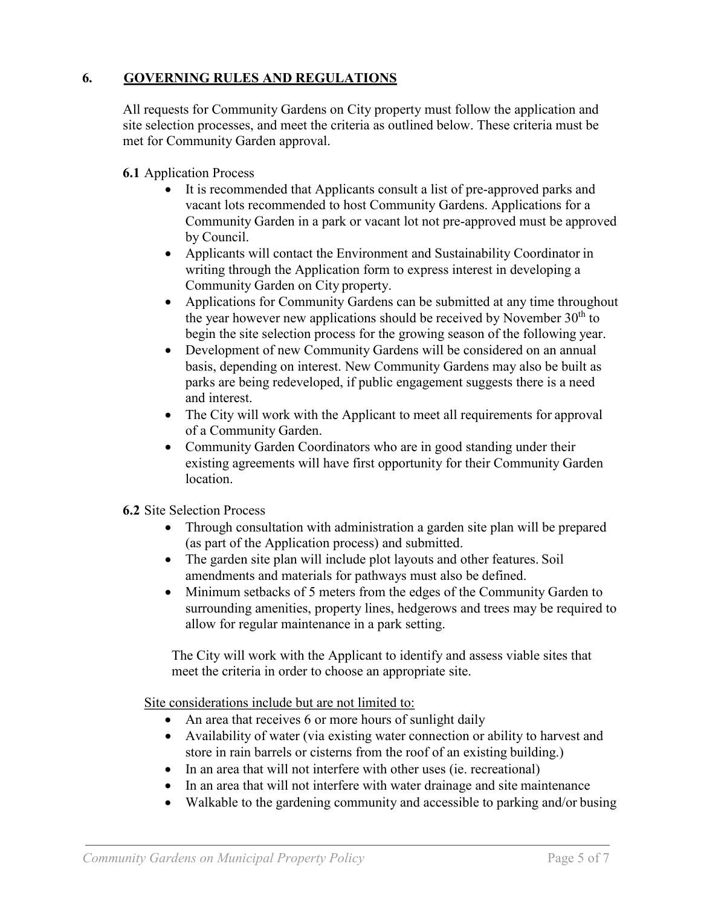## **6. GOVERNING RULES AND REGULATIONS**

All requests for Community Gardens on City property must follow the application and site selection processes, and meet the criteria as outlined below. These criteria must be met for Community Garden approval.

- **6.1** Application Process
	- It is recommended that Applicants consult a list of pre-approved parks and vacant lots recommended to host Community Gardens. Applications for a Community Garden in a park or vacant lot not pre-approved must be approved by Council.
	- Applicants will contact the Environment and Sustainability Coordinator in writing through the Application form to express interest in developing a Community Garden on City property.
	- Applications for Community Gardens can be submitted at any time throughout the year however new applications should be received by November  $30<sup>th</sup>$  to begin the site selection process for the growing season of the following year.
	- Development of new Community Gardens will be considered on an annual basis, depending on interest. New Community Gardens may also be built as parks are being redeveloped, if public engagement suggests there is a need and interest.
	- The City will work with the Applicant to meet all requirements for approval of a Community Garden.
	- Community Garden Coordinators who are in good standing under their existing agreements will have first opportunity for their Community Garden location.
- **6.2** Site Selection Process
	- Through consultation with administration a garden site plan will be prepared (as part of the Application process) and submitted.
	- The garden site plan will include plot layouts and other features. Soil amendments and materials for pathways must also be defined.
	- Minimum setbacks of 5 meters from the edges of the Community Garden to surrounding amenities, property lines, hedgerows and trees may be required to allow for regular maintenance in a park setting.

The City will work with the Applicant to identify and assess viable sites that meet the criteria in order to choose an appropriate site.

Site considerations include but are not limited to:

- An area that receives 6 or more hours of sunlight daily
- Availability of water (via existing water connection or ability to harvest and store in rain barrels or cisterns from the roof of an existing building.)
- In an area that will not interfere with other uses (ie. recreational)
- In an area that will not interfere with water drainage and site maintenance
- Walkable to the gardening community and accessible to parking and/or busing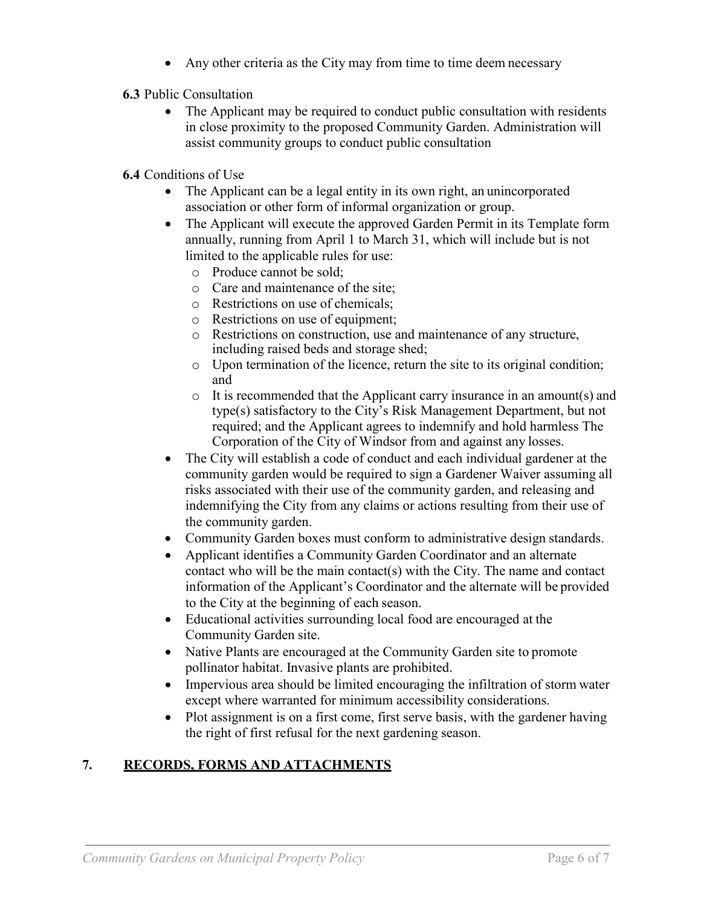- Any other criteria as the City may from time to time deem necessary
- **6.3** Public Consultation
	- The Applicant may be required to conduct public consultation with residents in close proximity to the proposed Community Garden. Administration will assist community groups to conduct public consultation
- **6.4** Conditions of Use
	- The Applicant can be a legal entity in its own right, an unincorporated association or other form of informal organization or group.
	- The Applicant will execute the approved Garden Permit in its Template form annually, running from April 1 to March 31, which will include but is not limited to the applicable rules for use:
		- o Produce cannot be sold;
		- o Care and maintenance of the site;
		- o Restrictions on use of chemicals;
		- o Restrictions on use of equipment;
		- o Restrictions on construction, use and maintenance of any structure, including raised beds and storage shed;
		- o Upon termination of the licence, return the site to its original condition; and
		- o It is recommended that the Applicant carry insurance in an amount(s) and type(s) satisfactory to the City's Risk Management Department, but not required; and the Applicant agrees to indemnify and hold harmless The Corporation of the City of Windsor from and against any losses.
	- The City will establish a code of conduct and each individual gardener at the community garden would be required to sign a Gardener Waiver assuming all risks associated with their use of the community garden, and releasing and indemnifying the City from any claims or actions resulting from their use of the community garden.
	- Community Garden boxes must conform to administrative design standards.
	- Applicant identifies a Community Garden Coordinator and an alternate contact who will be the main contact(s) with the City. The name and contact information of the Applicant's Coordinator and the alternate will be provided to the City at the beginning of each season.
	- Educational activities surrounding local food are encouraged at the Community Garden site.
	- Native Plants are encouraged at the Community Garden site to promote pollinator habitat. Invasive plants are prohibited.
	- Impervious area should be limited encouraging the infiltration of storm water except where warranted for minimum accessibility considerations.
	- Plot assignment is on a first come, first serve basis, with the gardener having the right of first refusal for the next gardening season.

# **7. RECORDS, FORMS AND ATTACHMENTS**